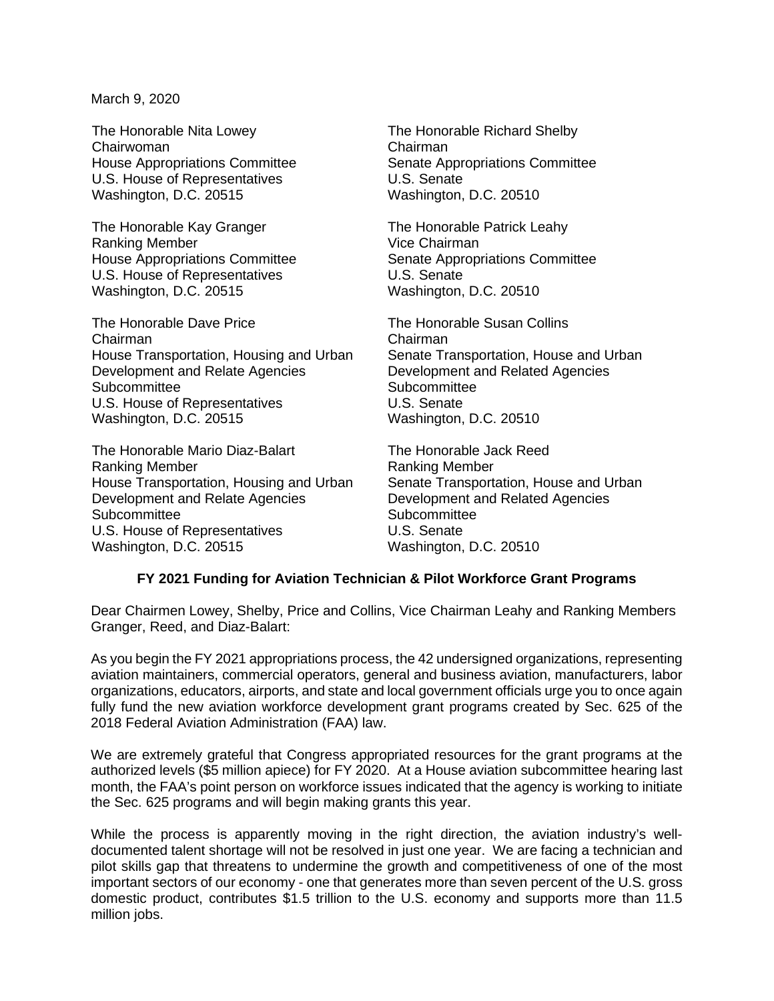March 9, 2020

The Honorable Nita Lowey Chairwoman House Appropriations Committee U.S. House of Representatives Washington, D.C. 20515

The Honorable Kay Granger Ranking Member House Appropriations Committee U.S. House of Representatives Washington, D.C. 20515

The Honorable Dave Price Chairman House Transportation, Housing and Urban Development and Relate Agencies **Subcommittee** U.S. House of Representatives Washington, D.C. 20515

The Honorable Mario Diaz-Balart Ranking Member House Transportation, Housing and Urban Development and Relate Agencies **Subcommittee** U.S. House of Representatives Washington, D.C. 20515

The Honorable Richard Shelby Chairman Senate Appropriations Committee U.S. Senate Washington, D.C. 20510

The Honorable Patrick Leahy Vice Chairman Senate Appropriations Committee U.S. Senate Washington, D.C. 20510

The Honorable Susan Collins Chairman Senate Transportation, House and Urban Development and Related Agencies **Subcommittee** U.S. Senate Washington, D.C. 20510

The Honorable Jack Reed Ranking Member Senate Transportation, House and Urban Development and Related Agencies **Subcommittee** U.S. Senate Washington, D.C. 20510

## **FY 2021 Funding for Aviation Technician & Pilot Workforce Grant Programs**

Dear Chairmen Lowey, Shelby, Price and Collins, Vice Chairman Leahy and Ranking Members Granger, Reed, and Diaz-Balart:

As you begin the FY 2021 appropriations process, the 42 undersigned organizations, representing aviation maintainers, commercial operators, general and business aviation, manufacturers, labor organizations, educators, airports, and state and local government officials urge you to once again fully fund the new aviation workforce development grant programs created by Sec. 625 of the 2018 Federal Aviation Administration (FAA) law.

We are extremely grateful that Congress appropriated resources for the grant programs at the authorized levels (\$5 million apiece) for FY 2020. At a House aviation subcommittee hearing last month, the FAA's point person on workforce issues indicated that the agency is working to initiate the Sec. 625 programs and will begin making grants this year.

While the process is apparently moving in the right direction, the aviation industry's welldocumented talent shortage will not be resolved in just one year. We are facing a technician and pilot skills gap that threatens to undermine the growth and competitiveness of one of the most important sectors of our economy - one that generates more than seven percent of the U.S. gross domestic product, contributes \$1.5 trillion to the U.S. economy and supports more than 11.5 million jobs.